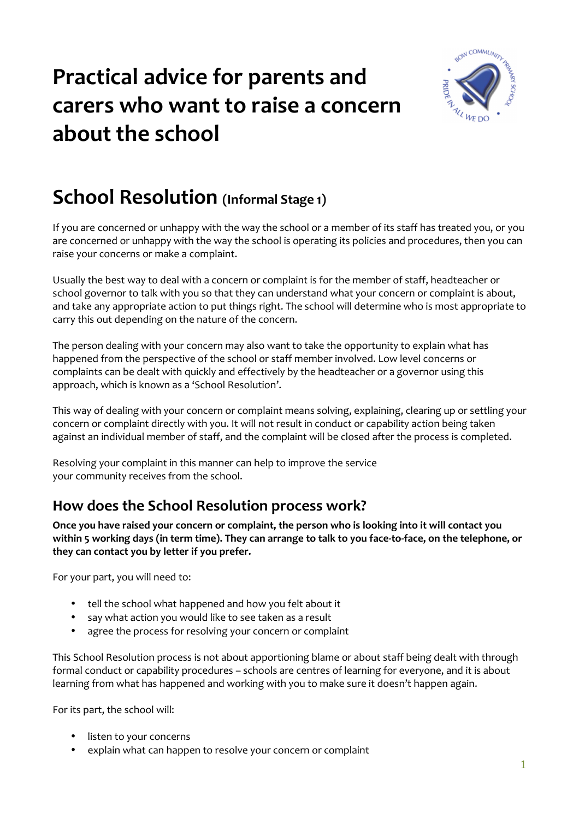# **Practical advice for parents and carers who want to raise a concern about the school**



### **School Resolution (Informal Stage 1)**

If you are concerned or unhappy with the way the school or a member of its staff has treated you, or you are concerned or unhappy with the way the school is operating its policies and procedures, then you can raise your concerns or make a complaint.

Usually the best way to deal with a concern or complaint is for the member of staff, headteacher or school governor to talk with you so that they can understand what your concern or complaint is about, and take any appropriate action to put things right. The school will determine who is most appropriate to carry this out depending on the nature of the concern.

The person dealing with your concern may also want to take the opportunity to explain what has happened from the perspective of the school or staff member involved. Low level concerns or complaints can be dealt with quickly and effectively by the headteacher or a governor using this approach, which is known as a 'School Resolution'.

This way of dealing with your concern or complaint means solving, explaining, clearing up or settling your concern or complaint directly with you. It will not result in conduct or capability action being taken against an individual member of staff, and the complaint will be closed after the process is completed.

Resolving your complaint in this manner can help to improve the service your community receives from the school.

### **How does the School Resolution process work?**

**Once you have raised your concern or complaint, the person who is looking into it will contact you within 5 working days (in term time). They can arrange to talk to you face-to-face, on the telephone, or they can contact you by letter if you prefer.** 

For your part, you will need to:

- tell the school what happened and how you felt about it
- say what action you would like to see taken as a result
- agree the process for resolving your concern or complaint

This School Resolution process is not about apportioning blame or about staff being dealt with through formal conduct or capability procedures – schools are centres of learning for everyone, and it is about learning from what has happened and working with you to make sure it doesn't happen again.

For its part, the school will:

- listen to your concerns
- explain what can happen to resolve your concern or complaint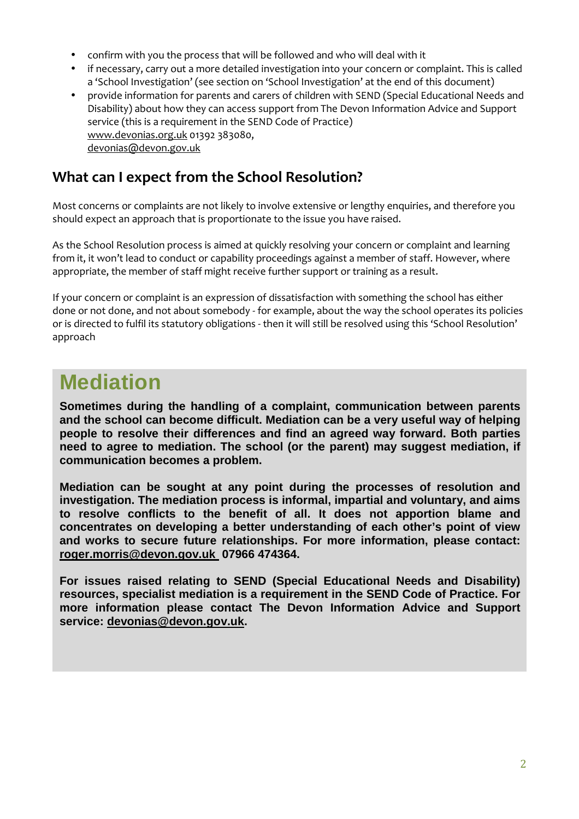- confirm with you the process that will be followed and who will deal with it
- if necessary, carry out a more detailed investigation into your concern or complaint. This is called a 'School Investigation' (see section on 'School Investigation' at the end of this document)
- provide information for parents and carers of children with SEND (Special Educational Needs and Disability) about how they can access support from The Devon Information Advice and Support service (this is a requirement in the SEND Code of Practice) www.devonias.org.uk 01392 383080, devonias@devon.gov.uk

#### **What can I expect from the School Resolution?**

Most concerns or complaints are not likely to involve extensive or lengthy enquiries, and therefore you should expect an approach that is proportionate to the issue you have raised.

As the School Resolution process is aimed at quickly resolving your concern or complaint and learning from it, it won't lead to conduct or capability proceedings against a member of staff. However, where appropriate, the member of staff might receive further support or training as a result.

If your concern or complaint is an expression of dissatisfaction with something the school has either done or not done, and not about somebody - for example, about the way the school operates its policies or is directed to fulfil its statutory obligations - then it will still be resolved using this 'School Resolution' approach

### **Mediation**

**Sometimes during the handling of a complaint, communication between parents and the school can become difficult. Mediation can be a very useful way of helping people to resolve their differences and find an agreed way forward. Both parties need to agree to mediation. The school (or the parent) may suggest mediation, if communication becomes a problem.** 

**Mediation can be sought at any point during the processes of resolution and investigation. The mediation process is informal, impartial and voluntary, and aims to resolve conflicts to the benefit of all. It does not apportion blame and concentrates on developing a better understanding of each other's point of view and works to secure future relationships. For more information, please contact: roger.morris@devon.gov.uk 07966 474364.** 

**For issues raised relating to SEND (Special Educational Needs and Disability) resources, specialist mediation is a requirement in the SEND Code of Practice. For more information please contact The Devon Information Advice and Support service: devonias@devon.gov.uk.**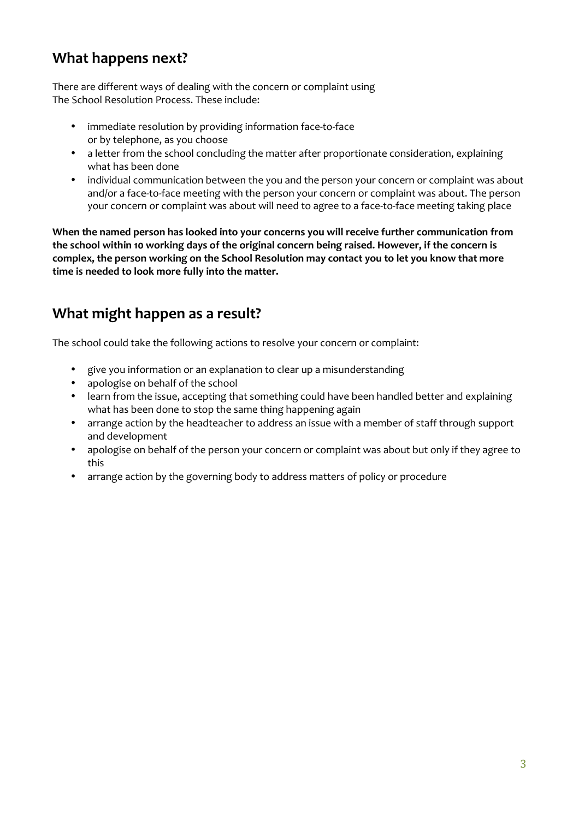### **What happens next?**

There are different ways of dealing with the concern or complaint using The School Resolution Process. These include:

- immediate resolution by providing information face-to-face or by telephone, as you choose
- a letter from the school concluding the matter after proportionate consideration, explaining what has been done
- individual communication between the you and the person your concern or complaint was about and/or a face-to-face meeting with the person your concern or complaint was about. The person your concern or complaint was about will need to agree to a face-to-face meeting taking place

**When the named person has looked into your concerns you will receive further communication from the school within 10 working days of the original concern being raised. However, if the concern is complex, the person working on the School Resolution may contact you to let you know that more time is needed to look more fully into the matter.**

### **What might happen as a result?**

The school could take the following actions to resolve your concern or complaint:

- give you information or an explanation to clear up a misunderstanding
- apologise on behalf of the school
- learn from the issue, accepting that something could have been handled better and explaining what has been done to stop the same thing happening again
- arrange action by the headteacher to address an issue with a member of staff through support and development
- apologise on behalf of the person your concern or complaint was about but only if they agree to this
- arrange action by the governing body to address matters of policy or procedure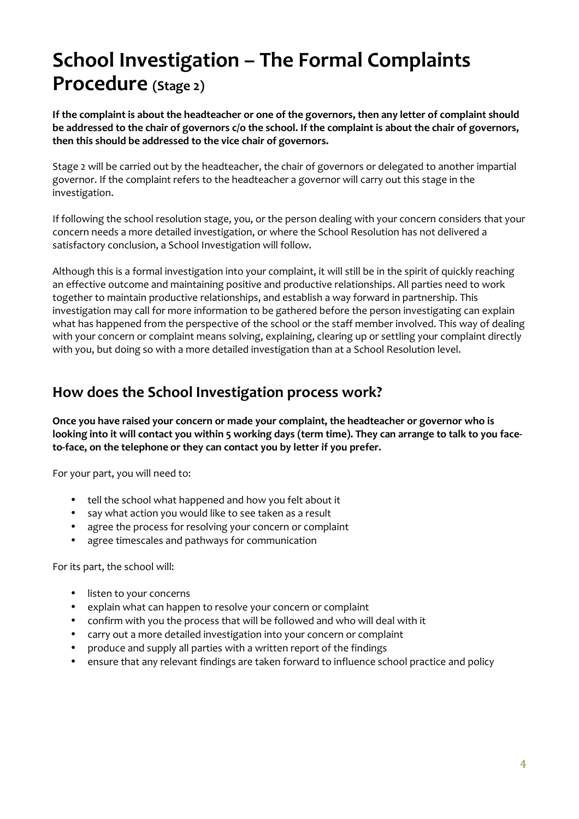## **School Investigation – The Formal Complaints Procedure (Stage 2)**

**If the complaint is about the headteacher or one of the governors, then any letter of complaint should be addressed to the chair of governors c/o the school. If the complaint is about the chair of governors, then this should be addressed to the vice chair of governors.**

Stage 2 will be carried out by the headteacher, the chair of governors or delegated to another impartial governor. If the complaint refers to the headteacher a governor will carry out this stage in the investigation.

If following the school resolution stage, you, or the person dealing with your concern considers that your concern needs a more detailed investigation, or where the School Resolution has not delivered a satisfactory conclusion, a School Investigation will follow.

Although this is a formal investigation into your complaint, it will still be in the spirit of quickly reaching an effective outcome and maintaining positive and productive relationships. All parties need to work together to maintain productive relationships, and establish a way forward in partnership. This investigation may call for more information to be gathered before the person investigating can explain what has happened from the perspective of the school or the staff member involved. This way of dealing with your concern or complaint means solving, explaining, clearing up or settling your complaint directly with you, but doing so with a more detailed investigation than at a School Resolution level.

### **How does the School Investigation process work?**

**Once you have raised your concern or made your complaint, the headteacher or governor who is looking into it will contact you within 5 working days (term time). They can arrange to talk to you faceto-face, on the telephone or they can contact you by letter if you prefer.** 

For your part, you will need to:

- tell the school what happened and how you felt about it
- say what action you would like to see taken as a result
- agree the process for resolving your concern or complaint
- agree timescales and pathways for communication

For its part, the school will:

- listen to your concerns
- explain what can happen to resolve your concern or complaint
- confirm with you the process that will be followed and who will deal with it
- carry out a more detailed investigation into your concern or complaint
- produce and supply all parties with a written report of the findings
- ensure that any relevant findings are taken forward to influence school practice and policy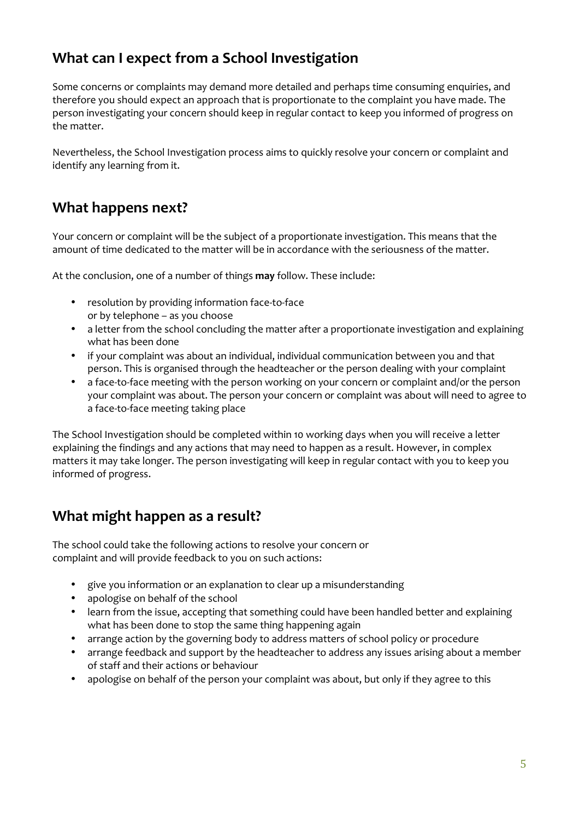### **What can I expect from a School Investigation**

Some concerns or complaints may demand more detailed and perhaps time consuming enquiries, and therefore you should expect an approach that is proportionate to the complaint you have made. The person investigating your concern should keep in regular contact to keep you informed of progress on the matter.

Nevertheless, the School Investigation process aims to quickly resolve your concern or complaint and identify any learning from it.

#### **What happens next?**

Your concern or complaint will be the subject of a proportionate investigation. This means that the amount of time dedicated to the matter will be in accordance with the seriousness of the matter.

At the conclusion, one of a number of things **may** follow. These include:

- resolution by providing information face-to-face or by telephone – as you choose
- a letter from the school concluding the matter after a proportionate investigation and explaining what has been done
- if your complaint was about an individual, individual communication between you and that person. This is organised through the headteacher or the person dealing with your complaint
- a face-to-face meeting with the person working on your concern or complaint and/or the person your complaint was about. The person your concern or complaint was about will need to agree to a face-to-face meeting taking place

The School Investigation should be completed within 10 working days when you will receive a letter explaining the findings and any actions that may need to happen as a result. However, in complex matters it may take longer. The person investigating will keep in regular contact with you to keep you informed of progress.

### **What might happen as a result?**

The school could take the following actions to resolve your concern or complaint and will provide feedback to you on such actions:

- give you information or an explanation to clear up a misunderstanding
- apologise on behalf of the school
- learn from the issue, accepting that something could have been handled better and explaining what has been done to stop the same thing happening again
- arrange action by the governing body to address matters of school policy or procedure
- arrange feedback and support by the headteacher to address any issues arising about a member of staff and their actions or behaviour
- apologise on behalf of the person your complaint was about, but only if they agree to this